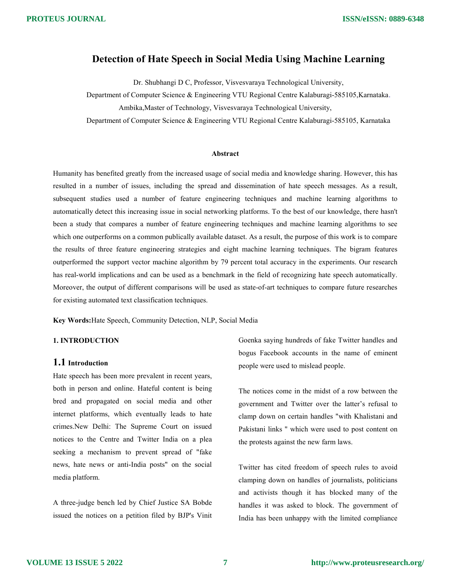### Detection of Hate Speech in Social Media Using Machine Learning

Dr. Shubhangi D C, Professor, Visvesvaraya Technological University,

Department of Computer Science & Engineering VTU Regional Centre Kalaburagi-585105,Karnataka.

Ambika,Master of Technology, Visvesvaraya Technological University,

Department of Computer Science & Engineering VTU Regional Centre Kalaburagi-585105, Karnataka

#### Abstract

Humanity has benefited greatly from the increased usage of social media and knowledge sharing. However, this has resulted in a number of issues, including the spread and dissemination of hate speech messages. As a result, subsequent studies used a number of feature engineering techniques and machine learning algorithms to automatically detect this increasing issue in social networking platforms. To the best of our knowledge, there hasn't been a study that compares a number of feature engineering techniques and machine learning algorithms to see which one outperforms on a common publically available dataset. As a result, the purpose of this work is to compare the results of three feature engineering strategies and eight machine learning techniques. The bigram features outperformed the support vector machine algorithm by 79 percent total accuracy in the experiments. Our research has real-world implications and can be used as a benchmark in the field of recognizing hate speech automatically. Moreover, the output of different comparisons will be used as state-of-art techniques to compare future researches for existing automated text classification techniques.

Key Words:Hate Speech, Community Detection, NLP, Social Media

### 1. INTRODUCTION

### 1.1 Introduction

Hate speech has been more prevalent in recent years, both in person and online. Hateful content is being bred and propagated on social media and other internet platforms, which eventually leads to hate crimes.New Delhi: The Supreme Court on issued notices to the Centre and Twitter India on a plea seeking a mechanism to prevent spread of "fake news, hate news or anti-India posts" on the social media platform.

A three-judge bench led by Chief Justice SA Bobde issued the notices on a petition filed by BJP's Vinit Goenka saying hundreds of fake Twitter handles and bogus Facebook accounts in the name of eminent people were used to mislead people.

The notices come in the midst of a row between the government and Twitter over the latter's refusal to clamp down on certain handles "with Khalistani and Pakistani links " which were used to post content on the protests against the new farm laws.

Twitter has cited freedom of speech rules to avoid clamping down on handles of journalists, politicians and activists though it has blocked many of the handles it was asked to block. The government of India has been unhappy with the limited compliance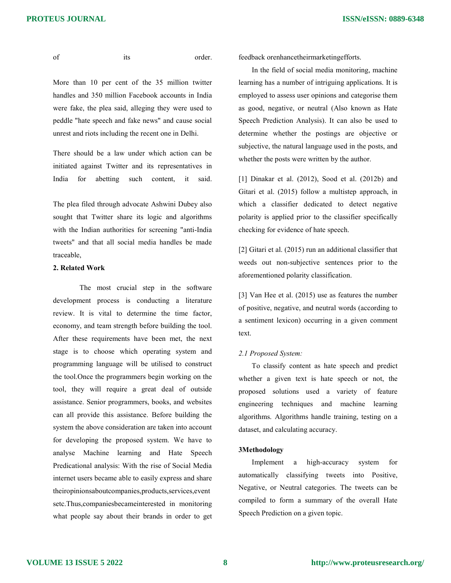**ISSN/eISSN: 0889-6348**

of its order.

More than 10 per cent of the 35 million twitter handles and 350 million Facebook accounts in India were fake, the plea said, alleging they were used to peddle "hate speech and fake news" and cause social unrest and riots including the recent one in Delhi.

There should be a law under which action can be initiated against Twitter and its representatives in India for abetting such content, it said.

The plea filed through advocate Ashwini Dubey also sought that Twitter share its logic and algorithms with the Indian authorities for screening "anti-India tweets" and that all social media handles be made traceable,

### 2. Related Work

The most crucial step in the software development process is conducting a literature review. It is vital to determine the time factor, economy, and team strength before building the tool. After these requirements have been met, the next stage is to choose which operating system and programming language will be utilised to construct the tool.Once the programmers begin working on the tool, they will require a great deal of outside assistance. Senior programmers, books, and websites can all provide this assistance. Before building the system the above consideration are taken into account for developing the proposed system. We have to analyse Machine learning and Hate Speech Predicational analysis: With the rise of Social Media internet users became able to easily express and share theiropinionsaboutcompanies,products,services,event setc.Thus,companiesbecameinterested in monitoring what people say about their brands in order to get feedback orenhancetheirmarketingefforts.

In the field of social media monitoring, machine learning has a number of intriguing applications. It is employed to assess user opinions and categorise them as good, negative, or neutral (Also known as Hate Speech Prediction Analysis). It can also be used to determine whether the postings are objective or subjective, the natural language used in the posts, and whether the posts were written by the author.

[1] Dinakar et al. (2012), Sood et al. (2012b) and Gitari et al. (2015) follow a multistep approach, in which a classifier dedicated to detect negative polarity is applied prior to the classifier specifically checking for evidence of hate speech.

[2] Gitari et al. (2015) run an additional classifier that weeds out non-subjective sentences prior to the aforementioned polarity classification.

[3] Van Hee et al. (2015) use as features the number of positive, negative, and neutral words (according to a sentiment lexicon) occurring in a given comment text.

#### 2.1 Proposed System:

To classify content as hate speech and predict whether a given text is hate speech or not, the proposed solutions used a variety of feature engineering techniques and machine learning algorithms. Algorithms handle training, testing on a dataset, and calculating accuracy.

### 3Methodology

Implement a high-accuracy system for automatically classifying tweets into Positive, Negative, or Neutral categories. The tweets can be compiled to form a summary of the overall Hate Speech Prediction on a given topic.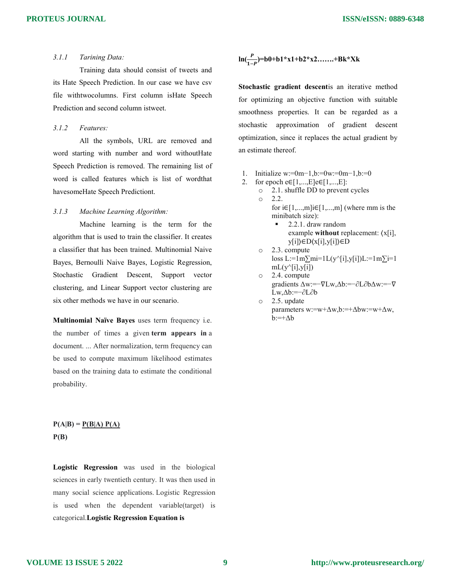### 3.1.1 Tarining Data:

Training data should consist of tweets and its Hate Speech Prediction. In our case we have csv file withtwocolumns. First column isHate Speech Prediction and second column istweet.

### 3.1.2 Features:

All the symbols, URL are removed and word starting with number and word withoutHate Speech Prediction is removed. The remaining list of word is called features which is list of wordthat havesomeHate Speech Predictiont.

### 3.1.3 Machine Learning Algorithm:

Machine learning is the term for the algorithm that is used to train the classifier. It creates a classifier that has been trained. Multinomial Naive Bayes, Bernoulli Naive Bayes, Logistic Regression, Stochastic Gradient Descent, Support vector clustering, and Linear Support vector clustering are six other methods we have in our scenario.

Multinomial Naïve Bayes uses term frequency i.e. the number of times a given term appears in a document. ... After normalization, term frequency can be used to compute maximum likelihood estimates based on the training data to estimate the conditional probability.

### $P(A|B) = P(B|A) P(A)$  $P(B)$

Logistic Regression was used in the biological sciences in early twentieth century. It was then used in many social science applications. Logistic Regression is used when the dependent variable(target) is categorical.Logistic Regression Equation is

$$
\ln(\frac{P}{1-P})=b0+b1*x1+b2*x2........+Bk*xk
$$

Stochastic gradient descentis an iterative method for optimizing an objective function with suitable smoothness properties. It can be regarded as a stochastic approximation of gradient descent optimization, since it replaces the actual gradient by an estimate thereof.

- 1. Initialize w:=0m−1,b:=0w:=0m−1,b:=0
- 2. for epoch e $\in [1,...,E]$ e $\in [1,...,E]$ :
	- o 2.1. shuffle DD to prevent cycles o 2.2.
		- for i∈[1,...,m]i∈[1,...,m] (where mm is the minibatch size):
			- 2.2.1. draw random example without replacement: ⟨x[i], y[i]⟩∈D⟨x[i],y[i]⟩∈D
		- o 2.3. compute loss L:=1m $\sum$ mi=1L(y^[i],y[i])L:=1m $\sum$ i=1  $mL(y^{\wedge}[i],y[i])$
		- o 2.4. compute gradients Δw:=−∇Lw,Δb:=−∂L∂bΔw:=−∇ Lw,Δb:=−∂L∂b
		- o 2.5. update parameters w:=w+Δw,b:=+Δbw:=w+Δw,  $b:=+\Delta b$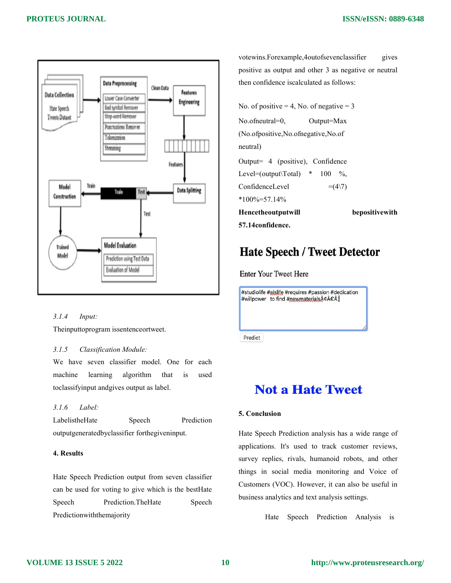

### 3.1.4 Input:

Theinputtoprogram issentenceortweet.

### 3.1.5 Classification Module:

We have seven classifier model. One for each machine learning algorithm that is used toclassifyinput andgives output as label.

### 3.1.6 Label:

LabelistheHate Speech Prediction outputgeneratedbyclassifier forthegiveninput.

### 4. Results

Hate Speech Prediction output from seven classifier can be used for voting to give which is the bestHate Speech Prediction.TheHate Speech Predictionwiththemajority

votewins.Forexample,4outofsevenclassifier gives positive as output and other 3 as negative or neutral then confidence iscalculated as follows:

```
No. of positive = 4, No. of negative = 3
```
No.ofneutral=0, Output=Max (No.ofpositive,No.ofnegative,No.of

Output= 4 (positive), Confidence Level=(output\Total)  $*$  100 %, ConfidenceLevel  $=(4\sqrt{7})$  $*100\% = 57.14\%$ 

Hencetheoutputwill bepositivewith

```
57.14confidence.
```
neutral)

# **Hate Speech / Tweet Detector**

**Enter Your Tweet Here** 

#studiolife #aislife #requires #passion #dedication #willpower to find #newmaterialsâ€Â

Predict

## **Not a Hate Tweet**

### 5. Conclusion

Hate Speech Prediction analysis has a wide range of applications. It's used to track customer reviews, survey replies, rivals, humanoid robots, and other things in social media monitoring and Voice of Customers (VOC). However, it can also be useful in business analytics and text analysis settings.

Hate Speech Prediction Analysis is